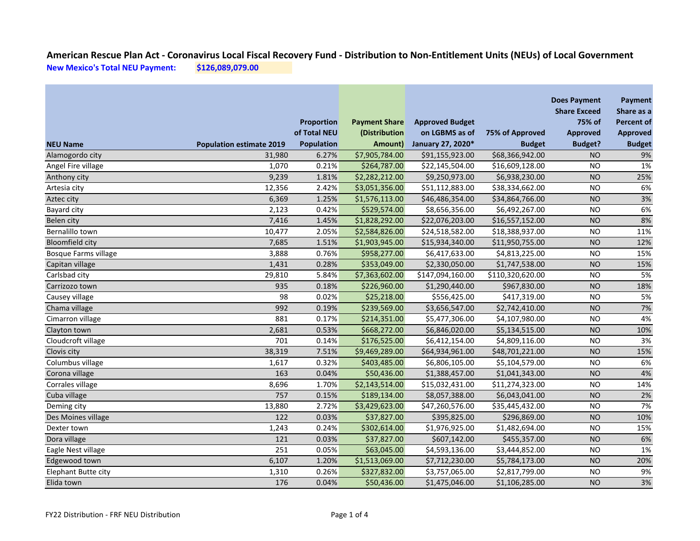|                             |                                 | <b>Proportion</b>                 | <b>Payment Share</b>     | <b>Approved Budget</b>              |                                  | <b>Does Payment</b><br><b>Share Exceed</b><br>75% of | Payment<br>Share as a<br>Percent of |
|-----------------------------|---------------------------------|-----------------------------------|--------------------------|-------------------------------------|----------------------------------|------------------------------------------------------|-------------------------------------|
| <b>NEU Name</b>             | <b>Population estimate 2019</b> | of Total NEU<br><b>Population</b> | (Distribution<br>Amount) | on LGBMS as of<br>January 27, 2020* | 75% of Approved<br><b>Budget</b> | <b>Approved</b><br><b>Budget?</b>                    | <b>Approved</b><br><b>Budget</b>    |
| Alamogordo city             | 31,980                          | 6.27%                             | \$7,905,784.00           | \$91,155,923.00                     | \$68,366,942.00                  | <b>NO</b>                                            | 9%                                  |
| Angel Fire village          | 1,070                           | 0.21%                             | \$264,787.00             | \$22,145,504.00                     | \$16,609,128.00                  | <b>NO</b>                                            | 1%                                  |
| Anthony city                | 9,239                           | 1.81%                             | \$2,282,212.00           | \$9,250,973.00                      | \$6,938,230.00                   | <b>NO</b>                                            | 25%                                 |
| Artesia city                | 12,356                          | 2.42%                             | \$3,051,356.00           | \$51,112,883.00                     | \$38,334,662.00                  | <b>NO</b>                                            | 6%                                  |
| Aztec city                  | 6,369                           | 1.25%                             | \$1,576,113.00           | \$46,486,354.00                     | \$34,864,766.00                  | <b>NO</b>                                            | 3%                                  |
| <b>Bayard city</b>          | 2,123                           | 0.42%                             | \$529,574.00             | \$8,656,356.00                      | \$6,492,267.00                   | <b>NO</b>                                            | 6%                                  |
| Belen city                  | 7,416                           | 1.45%                             | \$1,828,292.00           | \$22,076,203.00                     | \$16,557,152.00                  | <b>NO</b>                                            | 8%                                  |
| Bernalillo town             | 10,477                          | 2.05%                             | \$2,584,826.00           | \$24,518,582.00                     | \$18,388,937.00                  | <b>NO</b>                                            | 11%                                 |
| <b>Bloomfield city</b>      | 7,685                           | 1.51%                             | \$1,903,945.00           | \$15,934,340.00                     | \$11,950,755.00                  | <b>NO</b>                                            | 12%                                 |
| <b>Bosque Farms village</b> | 3,888                           | 0.76%                             | \$958,277.00             | \$6,417,633.00                      | \$4,813,225.00                   | <b>NO</b>                                            | 15%                                 |
| Capitan village             | 1,431                           | 0.28%                             | \$353,049.00             | \$2,330,050.00                      | \$1,747,538.00                   | <b>NO</b>                                            | 15%                                 |
| Carlsbad city               | 29,810                          | 5.84%                             | \$7,363,602.00           | \$147,094,160.00                    | \$110,320,620.00                 | <b>NO</b>                                            | 5%                                  |
| Carrizozo town              | 935                             | 0.18%                             | \$226,960.00             | \$1,290,440.00                      | \$967,830.00                     | <b>NO</b>                                            | 18%                                 |
| Causey village              | 98                              | 0.02%                             | \$25,218.00              | \$556,425.00                        | \$417,319.00                     | <b>NO</b>                                            | 5%                                  |
| Chama village               | 992                             | 0.19%                             | \$239,569.00             | \$3,656,547.00                      | \$2,742,410.00                   | <b>NO</b>                                            | 7%                                  |
| Cimarron village            | 881                             | 0.17%                             | \$214,351.00             | \$5,477,306.00                      | \$4,107,980.00                   | <b>NO</b>                                            | 4%                                  |
| Clayton town                | 2,681                           | 0.53%                             | \$668,272.00             | \$6,846,020.00                      | \$5,134,515.00                   | <b>NO</b>                                            | 10%                                 |
| Cloudcroft village          | 701                             | 0.14%                             | \$176,525.00             | \$6,412,154.00                      | \$4,809,116.00                   | <b>NO</b>                                            | 3%                                  |
| Clovis city                 | 38,319                          | 7.51%                             | \$9,469,289.00           | \$64,934,961.00                     | \$48,701,221.00                  | <b>NO</b>                                            | 15%                                 |
| Columbus village            | 1,617                           | 0.32%                             | \$403,485.00             | \$6,806,105.00                      | \$5,104,579.00                   | <b>NO</b>                                            | 6%                                  |
| Corona village              | 163                             | 0.04%                             | \$50,436.00              | \$1,388,457.00                      | \$1,041,343.00                   | <b>NO</b>                                            | 4%                                  |
| Corrales village            | 8,696                           | 1.70%                             | \$2,143,514.00           | \$15,032,431.00                     | \$11,274,323.00                  | <b>NO</b>                                            | 14%                                 |
| Cuba village                | 757                             | 0.15%                             | \$189,134.00             | \$8,057,388.00                      | \$6,043,041.00                   | <b>NO</b>                                            | 2%                                  |
| Deming city                 | 13,880                          | 2.72%                             | \$3,429,623.00           | \$47,260,576.00                     | \$35,445,432.00                  | <b>NO</b>                                            | 7%                                  |
| Des Moines village          | 122                             | 0.03%                             | \$37,827.00              | \$395,825.00                        | \$296,869.00                     | <b>NO</b>                                            | 10%                                 |
| Dexter town                 | 1,243                           | 0.24%                             | \$302,614.00             | \$1,976,925.00                      | \$1,482,694.00                   | <b>NO</b>                                            | 15%                                 |
| Dora village                | 121                             | 0.03%                             | \$37,827.00              | \$607,142.00                        | \$455,357.00                     | <b>NO</b>                                            | 6%                                  |
| Eagle Nest village          | 251                             | 0.05%                             | \$63,045.00              | \$4,593,136.00                      | \$3,444,852.00                   | <b>NO</b>                                            | 1%                                  |
| Edgewood town               | 6,107                           | 1.20%                             | \$1,513,069.00           | \$7,712,230.00                      | \$5,784,173.00                   | <b>NO</b>                                            | 20%                                 |
| Elephant Butte city         | 1,310                           | 0.26%                             | \$327,832.00             | \$3,757,065.00                      | \$2,817,799.00                   | <b>NO</b>                                            | 9%                                  |
| Elida town                  | 176                             | 0.04%                             | \$50,436.00              | \$1,475,046.00                      | \$1,106,285.00                   | <b>NO</b>                                            | 3%                                  |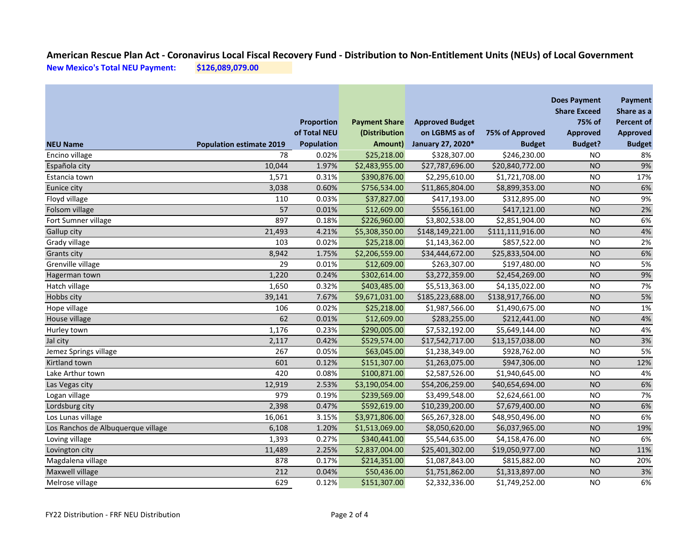|                                    |                                       | Proportion                        | <b>Payment Share</b>     | <b>Approved Budget</b>              |                                  | <b>Does Payment</b><br><b>Share Exceed</b><br>75% of | Payment<br>Share as a<br><b>Percent of</b> |
|------------------------------------|---------------------------------------|-----------------------------------|--------------------------|-------------------------------------|----------------------------------|------------------------------------------------------|--------------------------------------------|
| <b>NEU Name</b>                    |                                       | of Total NEU<br><b>Population</b> | (Distribution<br>Amount) | on LGBMS as of<br>January 27, 2020* | 75% of Approved<br><b>Budget</b> | <b>Approved</b><br><b>Budget?</b>                    | <b>Approved</b>                            |
|                                    | <b>Population estimate 2019</b><br>78 | 0.02%                             | \$25,218.00              |                                     |                                  |                                                      | <b>Budget</b>                              |
| Encino village                     | 10,044                                | 1.97%                             | \$2,483,955.00           | \$328,307.00<br>\$27,787,696.00     | \$246,230.00<br>\$20,840,772.00  | <b>NO</b><br><b>NO</b>                               | 8%<br>9%                                   |
| Española city<br>Estancia town     | 1,571                                 | 0.31%                             | \$390,876.00             | \$2,295,610.00                      | \$1,721,708.00                   | <b>NO</b>                                            | 17%                                        |
| Eunice city                        | 3,038                                 | 0.60%                             | \$756,534.00             | \$11,865,804.00                     | \$8,899,353.00                   | <b>NO</b>                                            | 6%                                         |
| Floyd village                      | 110                                   | 0.03%                             | \$37,827.00              | \$417,193.00                        | \$312,895.00                     | <b>NO</b>                                            | 9%                                         |
| Folsom village                     | 57                                    | 0.01%                             | \$12,609.00              | \$556,161.00                        | \$417,121.00                     | <b>NO</b>                                            | 2%                                         |
| Fort Sumner village                | 897                                   | 0.18%                             | \$226,960.00             | \$3,802,538.00                      | \$2,851,904.00                   | <b>NO</b>                                            | 6%                                         |
| Gallup city                        | 21,493                                | 4.21%                             | \$5,308,350.00           | \$148,149,221.00                    | \$111,111,916.00                 | <b>NO</b>                                            | 4%                                         |
| Grady village                      | 103                                   | 0.02%                             | \$25,218.00              | \$1,143,362.00                      | \$857,522.00                     | <b>NO</b>                                            | 2%                                         |
| <b>Grants city</b>                 | 8,942                                 | 1.75%                             | \$2,206,559.00           | \$34,444,672.00                     | \$25,833,504.00                  | <b>NO</b>                                            | 6%                                         |
| Grenville village                  | 29                                    | 0.01%                             | \$12,609.00              | \$263,307.00                        | \$197,480.00                     | <b>NO</b>                                            | 5%                                         |
| Hagerman town                      | 1,220                                 | 0.24%                             | \$302,614.00             | \$3,272,359.00                      | \$2,454,269.00                   | <b>NO</b>                                            | 9%                                         |
| Hatch village                      | 1,650                                 | 0.32%                             | \$403,485.00             | \$5,513,363.00                      | \$4,135,022.00                   | <b>NO</b>                                            | 7%                                         |
| Hobbs city                         | 39,141                                | 7.67%                             | \$9,671,031.00           | \$185,223,688.00                    | \$138,917,766.00                 | <b>NO</b>                                            | 5%                                         |
| Hope village                       | 106                                   | 0.02%                             | \$25,218.00              | \$1,987,566.00                      | \$1,490,675.00                   | <b>NO</b>                                            | 1%                                         |
| House village                      | 62                                    | 0.01%                             | \$12,609.00              | \$283,255.00                        | \$212,441.00                     | <b>NO</b>                                            | 4%                                         |
| Hurley town                        | 1,176                                 | 0.23%                             | \$290,005.00             | \$7,532,192.00                      | \$5,649,144.00                   | <b>NO</b>                                            | 4%                                         |
| Jal city                           | 2,117                                 | 0.42%                             | \$529,574.00             | \$17,542,717.00                     | \$13,157,038.00                  | <b>NO</b>                                            | 3%                                         |
| Jemez Springs village              | $\overline{267}$                      | 0.05%                             | \$63,045.00              | \$1,238,349.00                      | \$928,762.00                     | <b>NO</b>                                            | 5%                                         |
| Kirtland town                      | 601                                   | 0.12%                             | \$151,307.00             | \$1,263,075.00                      | \$947,306.00                     | <b>NO</b>                                            | 12%                                        |
| Lake Arthur town                   | 420                                   | 0.08%                             | \$100,871.00             | \$2,587,526.00                      | \$1,940,645.00                   | <b>NO</b>                                            | 4%                                         |
| Las Vegas city                     | 12,919                                | 2.53%                             | \$3,190,054.00           | \$54,206,259.00                     | \$40,654,694.00                  | <b>NO</b>                                            | 6%                                         |
| Logan village                      | 979                                   | 0.19%                             | \$239,569.00             | \$3,499,548.00                      | \$2,624,661.00                   | <b>NO</b>                                            | 7%                                         |
| Lordsburg city                     | 2,398                                 | 0.47%                             | \$592,619.00             | \$10,239,200.00                     | \$7,679,400.00                   | <b>NO</b>                                            | 6%                                         |
| Los Lunas village                  | 16,061                                | 3.15%                             | \$3,971,806.00           | \$65,267,328.00                     | \$48,950,496.00                  | <b>NO</b>                                            | 6%                                         |
| Los Ranchos de Albuquerque village | 6,108                                 | 1.20%                             | \$1,513,069.00           | \$8,050,620.00                      | \$6,037,965.00                   | <b>NO</b>                                            | 19%                                        |
| Loving village                     | 1,393                                 | 0.27%                             | \$340,441.00             | \$5,544,635.00                      | \$4,158,476.00                   | <b>NO</b>                                            | 6%                                         |
| Lovington city                     | 11,489                                | 2.25%                             | \$2,837,004.00           | \$25,401,302.00                     | \$19,050,977.00                  | <b>NO</b>                                            | 11%                                        |
| Magdalena village                  | 878                                   | 0.17%                             | \$214,351.00             | \$1,087,843.00                      | \$815,882.00                     | <b>NO</b>                                            | 20%                                        |
| Maxwell village                    | 212                                   | 0.04%                             | \$50,436.00              | \$1,751,862.00                      | \$1,313,897.00                   | <b>NO</b>                                            | 3%                                         |
| Melrose village                    | 629                                   | 0.12%                             | \$151,307.00             | \$2,332,336.00                      | \$1,749,252.00                   | <b>NO</b>                                            | 6%                                         |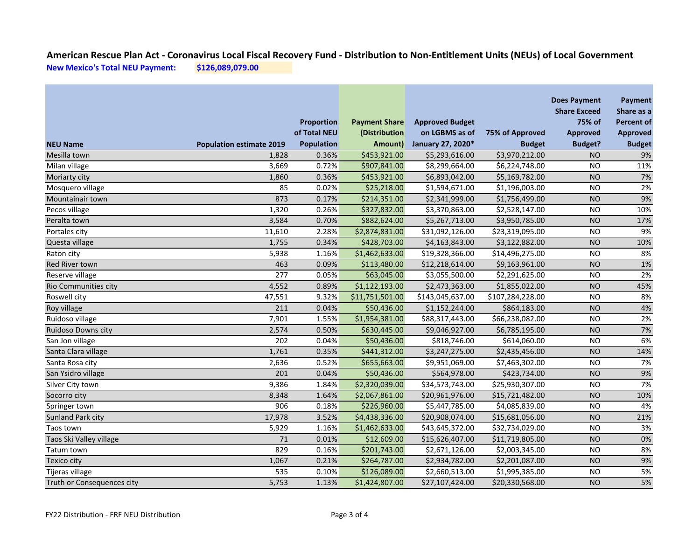|                            |                                 | <b>Proportion</b> | <b>Payment Share</b> | <b>Approved Budget</b> |                  | <b>Does Payment</b><br><b>Share Exceed</b><br>75% of | Payment<br>Share as a<br><b>Percent of</b> |
|----------------------------|---------------------------------|-------------------|----------------------|------------------------|------------------|------------------------------------------------------|--------------------------------------------|
|                            |                                 | of Total NEU      | (Distribution        | on LGBMS as of         | 75% of Approved  | <b>Approved</b>                                      | <b>Approved</b>                            |
| <b>NEU Name</b>            | <b>Population estimate 2019</b> | <b>Population</b> | Amount)              | January 27, 2020*      | <b>Budget</b>    | <b>Budget?</b>                                       | <b>Budget</b>                              |
| Mesilla town               | 1,828                           | 0.36%             | \$453,921.00         | \$5,293,616.00         | \$3,970,212.00   | <b>NO</b>                                            | 9%                                         |
| Milan village              | 3,669                           | 0.72%             | \$907,841.00         | \$8,299,664.00         | \$6,224,748.00   | <b>NO</b>                                            | 11%                                        |
| Moriarty city              | 1,860                           | 0.36%             | \$453,921.00         | \$6,893,042.00         | \$5,169,782.00   | <b>NO</b>                                            | 7%                                         |
| Mosquero village           | 85                              | 0.02%             | \$25,218.00          | \$1,594,671.00         | \$1,196,003.00   | <b>NO</b>                                            | 2%                                         |
| Mountainair town           | 873                             | 0.17%             | \$214,351.00         | \$2,341,999.00         | \$1,756,499.00   | <b>NO</b>                                            | 9%                                         |
| Pecos village              | 1,320                           | 0.26%             | \$327,832.00         | \$3,370,863.00         | \$2,528,147.00   | <b>NO</b>                                            | 10%                                        |
| Peralta town               | 3,584                           | 0.70%             | \$882,624.00         | \$5,267,713.00         | \$3,950,785.00   | <b>NO</b>                                            | 17%                                        |
| Portales city              | 11,610                          | 2.28%             | \$2,874,831.00       | \$31,092,126.00        | \$23,319,095.00  | <b>NO</b>                                            | 9%                                         |
| Questa village             | 1,755                           | 0.34%             | \$428,703.00         | \$4,163,843.00         | \$3,122,882.00   | <b>NO</b>                                            | 10%                                        |
| Raton city                 | 5,938                           | 1.16%             | \$1,462,633.00       | \$19,328,366.00        | \$14,496,275.00  | <b>NO</b>                                            | 8%                                         |
| Red River town             | 463                             | 0.09%             | \$113,480.00         | \$12,218,614.00        | \$9,163,961.00   | <b>NO</b>                                            | 1%                                         |
| Reserve village            | 277                             | 0.05%             | \$63,045.00          | \$3,055,500.00         | \$2,291,625.00   | <b>NO</b>                                            | 2%                                         |
| Rio Communities city       | 4,552                           | 0.89%             | \$1,122,193.00       | \$2,473,363.00         | \$1,855,022.00   | <b>NO</b>                                            | 45%                                        |
| Roswell city               | 47,551                          | 9.32%             | \$11,751,501.00      | \$143,045,637.00       | \$107,284,228.00 | <b>NO</b>                                            | 8%                                         |
| Roy village                | 211                             | 0.04%             | \$50,436.00          | \$1,152,244.00         | \$864,183.00     | <b>NO</b>                                            | 4%                                         |
| Ruidoso village            | 7,901                           | 1.55%             | \$1,954,381.00       | \$88,317,443.00        | \$66,238,082.00  | <b>NO</b>                                            | 2%                                         |
| Ruidoso Downs city         | 2,574                           | 0.50%             | \$630,445.00         | \$9,046,927.00         | \$6,785,195.00   | <b>NO</b>                                            | 7%                                         |
| San Jon village            | 202                             | 0.04%             | \$50,436.00          | \$818,746.00           | \$614,060.00     | <b>NO</b>                                            | 6%                                         |
| Santa Clara village        | 1,761                           | 0.35%             | \$441,312.00         | \$3,247,275.00         | \$2,435,456.00   | <b>NO</b>                                            | 14%                                        |
| Santa Rosa city            | 2,636                           | 0.52%             | \$655,663.00         | \$9,951,069.00         | \$7,463,302.00   | <b>NO</b>                                            | 7%                                         |
| San Ysidro village         | 201                             | 0.04%             | \$50,436.00          | \$564,978.00           | \$423,734.00     | <b>NO</b>                                            | 9%                                         |
| Silver City town           | 9,386                           | 1.84%             | \$2,320,039.00       | \$34,573,743.00        | \$25,930,307.00  | <b>NO</b>                                            | 7%                                         |
| Socorro city               | 8,348                           | 1.64%             | \$2,067,861.00       | \$20,961,976.00        | \$15,721,482.00  | <b>NO</b>                                            | 10%                                        |
| Springer town              | 906                             | 0.18%             | \$226,960.00         | \$5,447,785.00         | \$4,085,839.00   | <b>NO</b>                                            | 4%                                         |
| Sunland Park city          | 17,978                          | 3.52%             | \$4,438,336.00       | \$20,908,074.00        | \$15,681,056.00  | <b>NO</b>                                            | 21%                                        |
| Taos town                  | 5,929                           | 1.16%             | \$1,462,633.00       | \$43,645,372.00        | \$32,734,029.00  | <b>NO</b>                                            | 3%                                         |
| Taos Ski Valley village    | 71                              | 0.01%             | \$12,609.00          | \$15,626,407.00        | \$11,719,805.00  | <b>NO</b>                                            | 0%                                         |
| Tatum town                 | 829                             | 0.16%             | \$201,743.00         | \$2,671,126.00         | \$2,003,345.00   | <b>NO</b>                                            | 8%                                         |
| Texico city                | 1,067                           | 0.21%             | \$264,787.00         | \$2,934,782.00         | \$2,201,087.00   | <b>NO</b>                                            | 9%                                         |
| Tijeras village            | 535                             | 0.10%             | \$126,089.00         | \$2,660,513.00         | \$1,995,385.00   | <b>NO</b>                                            | 5%                                         |
| Truth or Consequences city | 5,753                           | 1.13%             | \$1,424,807.00       | \$27,107,424.00        | \$20,330,568.00  | <b>NO</b>                                            | 5%                                         |